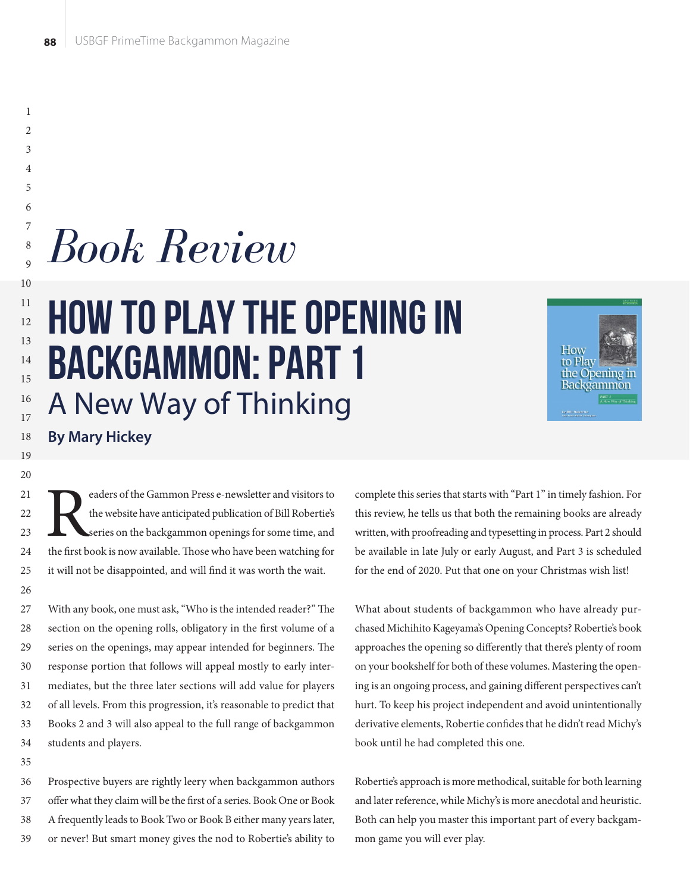# How to Play the Opening in Backgammon: Part 1 A New Way of Thinking *Book Review*



### **By Mary Hickey**

External visitors to<br>the website have anticipated publication of Bill Robertie's<br>series on the backgammon openings for some time, and<br>the first book is now available. Those who have been watching for the website have anticipated publication of Bill Robertie's series on the backgammon openings for some time, and the first book is now available. Those who have been watching for it will not be disappointed, and will find it was worth the wait.

With any book, one must ask, "Who is the intended reader?" The section on the opening rolls, obligatory in the first volume of a series on the openings, may appear intended for beginners. The response portion that follows will appeal mostly to early intermediates, but the three later sections will add value for players of all levels. From this progression, it's reasonable to predict that Books 2 and 3 will also appeal to the full range of backgammon students and players. 27 28 29 30 31 32 33 34

35

Prospective buyers are rightly leery when backgammon authors offer what they claim will be the first of a series. Book One or Book A frequently leads to Book Two or Book B either many years later, or never! But smart money gives the nod to Robertie's ability to 36 37 38 39

complete this series that starts with "Part 1" in timely fashion. For this review, he tells us that both the remaining books are already written, with proofreading and typesetting in process. Part 2 should be available in late July or early August, and Part 3 is scheduled for the end of 2020. Put that one on your Christmas wish list!

What about students of backgammon who have already purchased Michihito Kageyama's Opening Concepts? Robertie's book approaches the opening so differently that there's plenty of room on your bookshelf for both of these volumes. Mastering the opening is an ongoing process, and gaining different perspectives can't hurt. To keep his project independent and avoid unintentionally derivative elements, Robertie confides that he didn't read Michy's book until he had completed this one.

Robertie's approach is more methodical, suitable for both learning and later reference, while Michy's is more anecdotal and heuristic. Both can help you master this important part of every backgammon game you will ever play.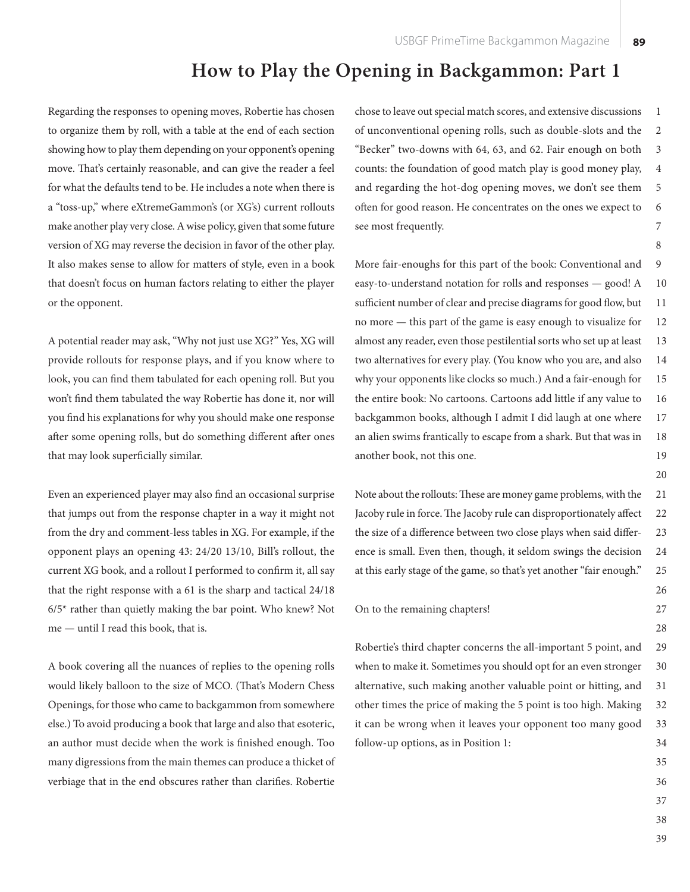Regarding the responses to opening moves, Robertie has chosen to organize them by roll, with a table at the end of each section showing how to play them depending on your opponent's opening move. That's certainly reasonable, and can give the reader a feel for what the defaults tend to be. He includes a note when there is a "toss-up," where eXtremeGammon's (or XG's) current rollouts make another play very close. A wise policy, given that some future version of XG may reverse the decision in favor of the other play. It also makes sense to allow for matters of style, even in a book that doesn't focus on human factors relating to either the player or the opponent.

A potential reader may ask, "Why not just use XG?" Yes, XG will provide rollouts for response plays, and if you know where to look, you can find them tabulated for each opening roll. But you won't find them tabulated the way Robertie has done it, nor will you find his explanations for why you should make one response after some opening rolls, but do something different after ones that may look superficially similar.

Even an experienced player may also find an occasional surprise that jumps out from the response chapter in a way it might not from the dry and comment-less tables in XG. For example, if the opponent plays an opening 43: 24/20 13/10, Bill's rollout, the current XG book, and a rollout I performed to confirm it, all say that the right response with a 61 is the sharp and tactical 24/18  $6/5$ <sup>\*</sup> rather than quietly making the bar point. Who knew? Not me — until I read this book, that is.

A book covering all the nuances of replies to the opening rolls would likely balloon to the size of MCO. (That's Modern Chess Openings, for those who came to backgammon from somewhere else.) To avoid producing a book that large and also that esoteric, an author must decide when the work is finished enough. Too many digressions from the main themes can produce a thicket of verbiage that in the end obscures rather than clarifies. Robertie

chose to leave out special match scores, and extensive discussions of unconventional opening rolls, such as double-slots and the "Becker" two-downs with 64, 63, and 62. Fair enough on both counts: the foundation of good match play is good money play, and regarding the hot-dog opening moves, we don't see them often for good reason. He concentrates on the ones we expect to see most frequently. 1 2 3 4 5 6 7

More fair-enoughs for this part of the book: Conventional and easy-to-understand notation for rolls and responses — good! A sufficient number of clear and precise diagrams for good flow, but no more — this part of the game is easy enough to visualize for almost any reader, even those pestilential sorts who set up at least two alternatives for every play. (You know who you are, and also why your opponents like clocks so much.) And a fair-enough for the entire book: No cartoons. Cartoons add little if any value to backgammon books, although I admit I did laugh at one where an alien swims frantically to escape from a shark. But that was in another book, not this one. 9 10 11 12 13 14 15 16 17 18 19

Note about the rollouts: These are money game problems, with the Jacoby rule in force. The Jacoby rule can disproportionately affect the size of a difference between two close plays when said difference is small. Even then, though, it seldom swings the decision at this early stage of the game, so that's yet another "fair enough." 21 22 23 24 25

### On to the remaining chapters!

Robertie's third chapter concerns the all-important 5 point, and when to make it. Sometimes you should opt for an even stronger alternative, such making another valuable point or hitting, and other times the price of making the 5 point is too high. Making it can be wrong when it leaves your opponent too many good follow-up options, as in Position 1: 29 30 31 32 33 34

> 35 36

8

20

26 27 28

37

38

39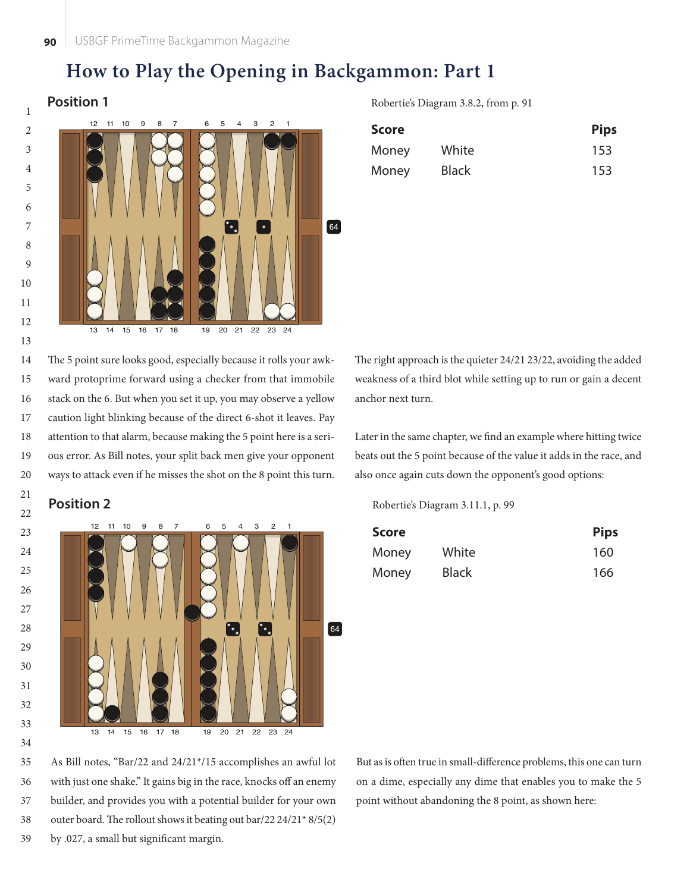

**Position 1** Robertie's Diagram 3.8.2, from p. 91

| <b>Score</b> |              | <b>Pips</b> |
|--------------|--------------|-------------|
| Money        | White        | 153         |
| Money        | <b>Black</b> | 153         |

The 5 point sure looks good, especially because it rolls your awkward protoprime forward using a checker from that immobile stack on the 6. But when you set it up, you may observe a yellow caution light blinking because of the direct 6-shot it leaves. Pay attention to that alarm, because making the 5 point here is a serious error. As Bill notes, your split back men give your opponent ways to attack even if he misses the shot on the 8 point this turn. 14 15 16 17 18 19 20



The right approach is the quieter 24/21 23/22, avoiding the added weakness of a third blot while setting up to run or gain a decent anchor next turn.

Later in the same chapter, we find an example where hitting twice beats out the 5 point because of the value it adds in the race, and also once again cuts down the opponent's good options:

**Position 2** Robertie's Diagram 3.11.1, p. 99

| Score |              | <b>Pips</b> |  |
|-------|--------------|-------------|--|
| Money | White        | 160         |  |
| Money | <b>Black</b> | 166         |  |

As Bill notes, "Bar/22 and 24/21\*/15 accomplishes an awful lot with just one shake." It gains big in the race, knocks off an enemy builder, and provides you with a potential builder for your own outer board. The rollout shows it beating out bar/22 24/21\*  $8/5(2)$ by .027, a small but significant margin. 35 36 37 38 39

But as is often true in small-difference problems, this one can turn on a dime, especially any dime that enables you to make the 5 point without abandoning the 8 point, as shown here: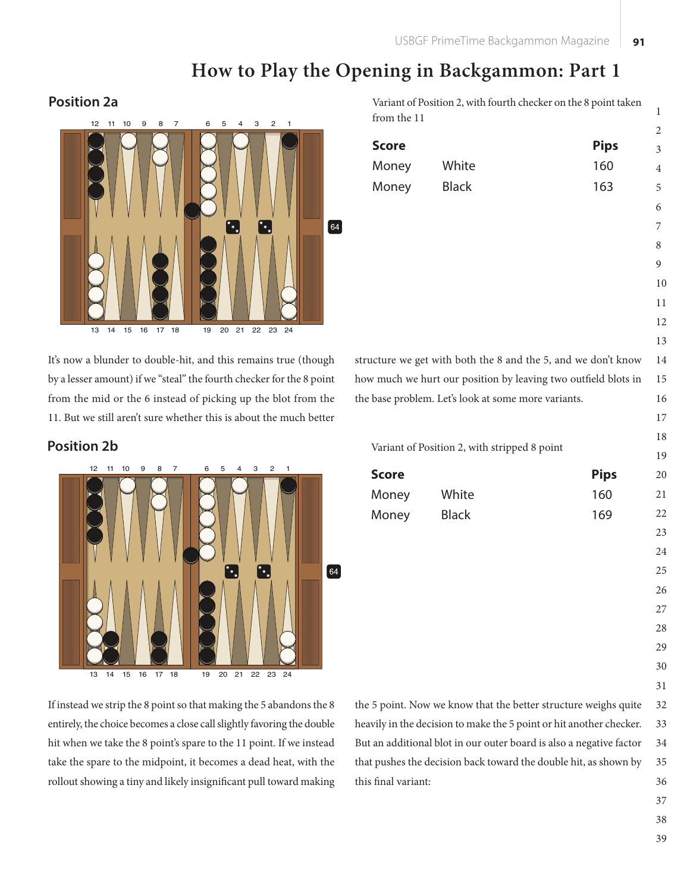**Score Pips** Money White 160 Money Black 163

# **How to Play the Opening in Backgammon: Part 1**

from the 11

### **Position 2a** Variant of Position 2, with fourth checker on the 8 point taken



It's now a blunder to double-hit, and this remains true (though by a lesser amount) if we "steal" the fourth checker for the 8 point from the mid or the 6 instead of picking up the blot from the 11. But we still aren't sure whether this is about the much better



If instead we strip the 8 point so that making the 5 abandons the 8 entirely, the choice becomes a close call slightly favoring the double hit when we take the 8 point's spare to the 11 point. If we instead take the spare to the midpoint, it becomes a dead heat, with the rollout showing a tiny and likely insignificant pull toward making

the 5 point. Now we know that the better structure weighs quite heavily in the decision to make the 5 point or hit another checker. But an additional blot in our outer board is also a negative factor that pushes the decision back toward the double hit, as shown by this final variant: 

structure we get with both the 8 and the 5, and we don't know how much we hurt our position by leaving two outfield blots in the base problem. Let's look at some more variants. 

**Position 2b** Variant of Position 2, with stripped 8 point

| <b>Score</b> |              | <b>Pips</b> | 20 |
|--------------|--------------|-------------|----|
| Money        | White        | 160         | 21 |
| Money        | <b>Black</b> | 169         | 22 |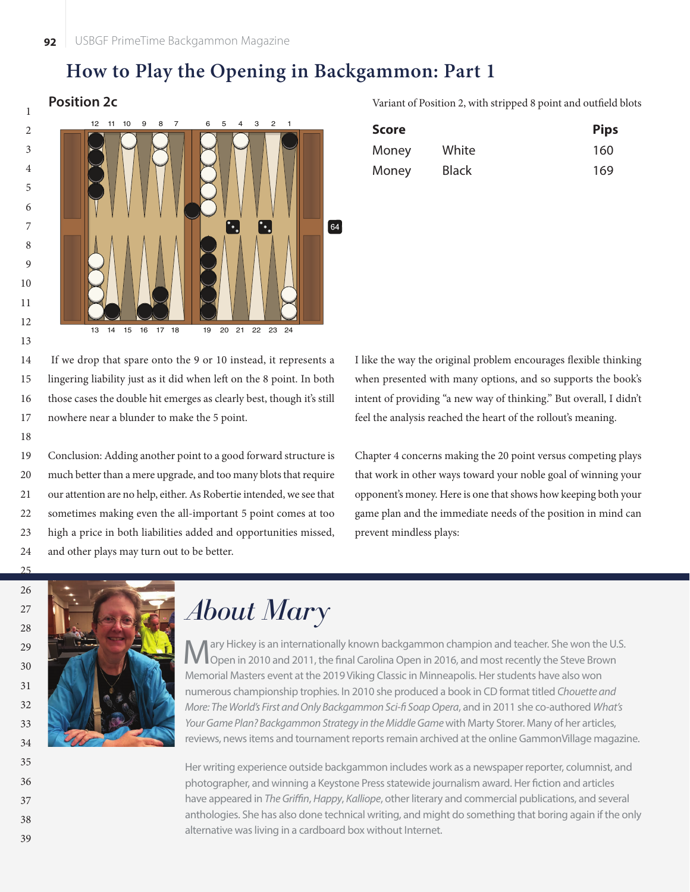

### **Position 2c** Variant of Position 2, with stripped 8 point and outfield blots

| <b>Score</b> |              | <b>Pips</b> |
|--------------|--------------|-------------|
| Money        | White        | 160         |
| Money        | <b>Black</b> | 169         |

 If we drop that spare onto the 9 or 10 instead, it represents a lingering liability just as it did when left on the 8 point. In both those cases the double hit emerges as clearly best, though it's still nowhere near a blunder to make the 5 point. 14 15 16 17

Conclusion: Adding another point to a good forward structure is much better than a mere upgrade, and too many blots that require our attention are no help, either. As Robertie intended, we see that sometimes making even the all-important 5 point comes at too high a price in both liabilities added and opportunities missed, and other plays may turn out to be better. 19 20 21 22 23 24

I like the way the original problem encourages flexible thinking when presented with many options, and so supports the book's intent of providing "a new way of thinking." But overall, I didn't feel the analysis reached the heart of the rollout's meaning.

Chapter 4 concerns making the 20 point versus competing plays that work in other ways toward your noble goal of winning your opponent's money. Here is one that shows how keeping both your game plan and the immediate needs of the position in mind can prevent mindless plays:

38 39

 $25$ 

18



# *About Mary*

ary Hickey is an internationally known backgammon champion and teacher. She won the U.S. Open in 2010 and 2011, the final Carolina Open in 2016, and most recently the Steve Brown Memorial Masters event at the 2019 Viking Classic in Minneapolis. Her students have also won numerous championship trophies. In 2010 she produced a book in CD format titled *Chouette and More: The World's First and Only Backgammon Sci- Soap Opera*, and in 2011 she co-authored *What's*  Your Game Plan? Backgammon Strategy in the Middle Game with Marty Storer. Many of her articles, reviews, news items and tournament reports remain archived at the online GammonVillage magazine.

Her writing experience outside backgammon includes work as a newspaper reporter, columnist, and photographer, and winning a Keystone Press statewide journalism award. Her fiction and articles have appeared in *The Griffin, Happy, Kalliope, other literary and commercial publications, and several* anthologies. She has also done technical writing, and might do something that boring again if the only alternative was living in a cardboard box without Internet.